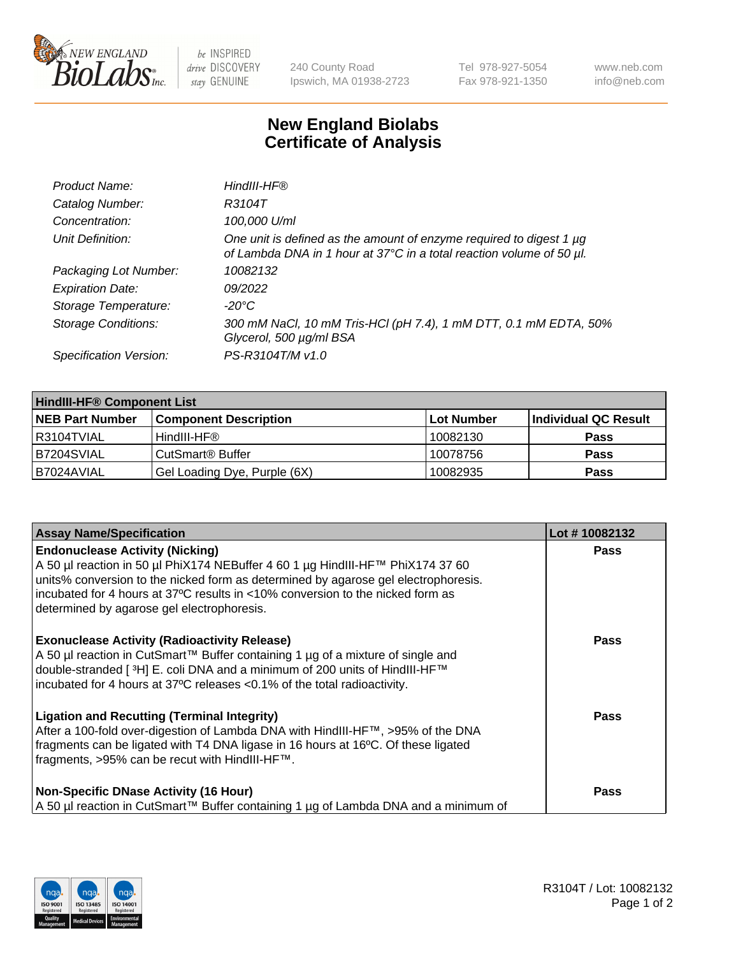

 $be$  INSPIRED drive DISCOVERY stay GENUINE

240 County Road Ipswich, MA 01938-2723 Tel 978-927-5054 Fax 978-921-1350 www.neb.com info@neb.com

## **New England Biolabs Certificate of Analysis**

| Product Name:              | HindIII-HF®                                                                                                                                 |
|----------------------------|---------------------------------------------------------------------------------------------------------------------------------------------|
| Catalog Number:            | R3104T                                                                                                                                      |
| Concentration:             | 100,000 U/ml                                                                                                                                |
| Unit Definition:           | One unit is defined as the amount of enzyme required to digest 1 µg<br>of Lambda DNA in 1 hour at 37°C in a total reaction volume of 50 µl. |
| Packaging Lot Number:      | 10082132                                                                                                                                    |
| <b>Expiration Date:</b>    | 09/2022                                                                                                                                     |
| Storage Temperature:       | $-20^{\circ}$ C                                                                                                                             |
| <b>Storage Conditions:</b> | 300 mM NaCl, 10 mM Tris-HCl (pH 7.4), 1 mM DTT, 0.1 mM EDTA, 50%<br>Glycerol, 500 µg/ml BSA                                                 |
| Specification Version:     | PS-R3104T/M v1.0                                                                                                                            |

| <b>HindIII-HF® Component List</b> |                                    |                   |                      |  |  |
|-----------------------------------|------------------------------------|-------------------|----------------------|--|--|
| <b>NEB Part Number</b>            | <b>Component Description</b>       | <b>Lot Number</b> | Individual QC Result |  |  |
| I R3104TVIAL                      | HindIII-HF®                        | 10082130          | <b>Pass</b>          |  |  |
| B7204SVIAL                        | <b>CutSmart<sup>®</sup> Buffer</b> | 10078756          | <b>Pass</b>          |  |  |
| B7024AVIAL                        | Gel Loading Dye, Purple (6X)       | 10082935          | <b>Pass</b>          |  |  |

| <b>Assay Name/Specification</b>                                                                                                                                                                                                                                                                                                                | Lot #10082132 |
|------------------------------------------------------------------------------------------------------------------------------------------------------------------------------------------------------------------------------------------------------------------------------------------------------------------------------------------------|---------------|
| <b>Endonuclease Activity (Nicking)</b><br>A 50 µl reaction in 50 µl PhiX174 NEBuffer 4 60 1 µg HindIII-HF™ PhiX174 37 60<br>units% conversion to the nicked form as determined by agarose gel electrophoresis.<br>incubated for 4 hours at 37°C results in <10% conversion to the nicked form as<br>determined by agarose gel electrophoresis. | <b>Pass</b>   |
| <b>Exonuclease Activity (Radioactivity Release)</b><br>A 50 µl reaction in CutSmart™ Buffer containing 1 µg of a mixture of single and<br>double-stranded [ <sup>3</sup> H] E. coli DNA and a minimum of 200 units of HindIII-HF <sup>™</sup><br>incubated for 4 hours at 37°C releases <0.1% of the total radioactivity.                      | Pass          |
| <b>Ligation and Recutting (Terminal Integrity)</b><br>After a 100-fold over-digestion of Lambda DNA with HindIII-HF™, >95% of the DNA<br>fragments can be ligated with T4 DNA ligase in 16 hours at 16°C. Of these ligated<br>fragments, >95% can be recut with HindIII-HF™.                                                                   | <b>Pass</b>   |
| <b>Non-Specific DNase Activity (16 Hour)</b><br>  A 50 µl reaction in CutSmart™ Buffer containing 1 µg of Lambda DNA and a minimum of                                                                                                                                                                                                          | Pass          |